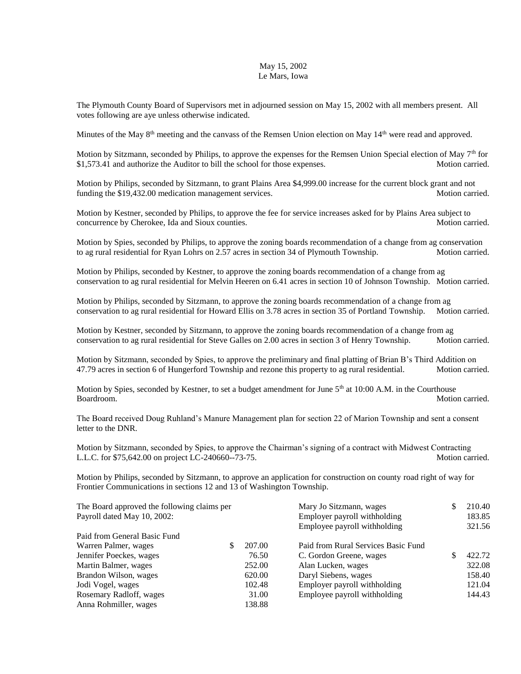## May 15, 2002 Le Mars, Iowa

The Plymouth County Board of Supervisors met in adjourned session on May 15, 2002 with all members present. All votes following are aye unless otherwise indicated.

Minutes of the May  $8<sup>th</sup>$  meeting and the canvass of the Remsen Union election on May  $14<sup>th</sup>$  were read and approved.

Motion by Sitzmann, seconded by Philips, to approve the expenses for the Remsen Union Special election of May 7<sup>th</sup> for \$1,573.41 and authorize the Auditor to bill the school for those expenses. Motion carried.

Motion by Philips, seconded by Sitzmann, to grant Plains Area \$4,999.00 increase for the current block grant and not funding the \$19,432.00 medication management services. Motion carried.

Motion by Kestner, seconded by Philips, to approve the fee for service increases asked for by Plains Area subject to concurrence by Cherokee, Ida and Sioux counties. And South the state of the Motion carried.

Motion by Spies, seconded by Philips, to approve the zoning boards recommendation of a change from ag conservation to ag rural residential for Ryan Lohrs on 2.57 acres in section 34 of Plymouth Township. Motion carried.

Motion by Philips, seconded by Kestner, to approve the zoning boards recommendation of a change from ag conservation to ag rural residential for Melvin Heeren on 6.41 acres in section 10 of Johnson Township. Motion carried.

Motion by Philips, seconded by Sitzmann, to approve the zoning boards recommendation of a change from ag conservation to ag rural residential for Howard Ellis on 3.78 acres in section 35 of Portland Township. Motion carried.

Motion by Kestner, seconded by Sitzmann, to approve the zoning boards recommendation of a change from ag conservation to ag rural residential for Steve Galles on 2.00 acres in section 3 of Henry Township. Motion carried.

Motion by Sitzmann, seconded by Spies, to approve the preliminary and final platting of Brian B's Third Addition on 47.79 acres in section 6 of Hungerford Township and rezone this property to ag rural residential. Motion carried.

Motion by Spies, seconded by Kestner, to set a budget amendment for June 5<sup>th</sup> at 10:00 A.M. in the Courthouse Boardroom. Motion carried.

The Board received Doug Ruhland's Manure Management plan for section 22 of Marion Township and sent a consent letter to the DNR.

Motion by Sitzmann, seconded by Spies, to approve the Chairman's signing of a contract with Midwest Contracting L.L.C. for \$75,642.00 on project LC-240660--73-75.

Motion by Philips, seconded by Sitzmann, to approve an application for construction on county road right of way for Frontier Communications in sections 12 and 13 of Washington Township.

| The Board approved the following claims per |  |        | Mary Jo Sitzmann, wages             | 210.40 |
|---------------------------------------------|--|--------|-------------------------------------|--------|
| Payroll dated May 10, 2002:                 |  |        | Employer payroll withholding        | 183.85 |
|                                             |  |        | Employee payroll withholding        | 321.56 |
| Paid from General Basic Fund                |  |        |                                     |        |
| Warren Palmer, wages                        |  | 207.00 | Paid from Rural Services Basic Fund |        |
| Jennifer Poeckes, wages                     |  | 76.50  | C. Gordon Greene, wages             | 422.72 |
| Martin Balmer, wages                        |  | 252.00 | Alan Lucken, wages                  | 322.08 |
| Brandon Wilson, wages                       |  | 620.00 | Daryl Siebens, wages                | 158.40 |
| Jodi Vogel, wages                           |  | 102.48 | Employer payroll withholding        | 121.04 |
| Rosemary Radloff, wages                     |  | 31.00  | Employee payroll withholding        | 144.43 |
| Anna Rohmiller, wages                       |  | 138.88 |                                     |        |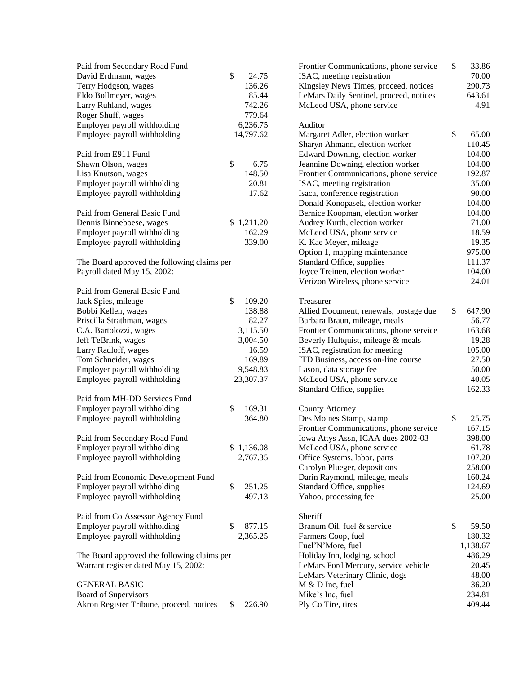| Paid from Secondary Road Fund               |              | Frontier Communications, phone service                            | \$<br>33.86           |
|---------------------------------------------|--------------|-------------------------------------------------------------------|-----------------------|
| David Erdmann, wages                        | \$<br>24.75  | ISAC, meeting registration                                        | 70.00                 |
| Terry Hodgson, wages                        | 136.26       | Kingsley News Times, proceed, notices                             | 290.73                |
| Eldo Bollmeyer, wages                       | 85.44        | LeMars Daily Sentinel, proceed, notices                           | 643.61                |
| Larry Ruhland, wages                        | 742.26       | McLeod USA, phone service                                         | 4.91                  |
| Roger Shuff, wages                          | 779.64       |                                                                   |                       |
| Employer payroll withholding                | 6,236.75     | Auditor                                                           |                       |
| Employee payroll withholding                | 14,797.62    | Margaret Adler, election worker<br>Sharyn Ahmann, election worker | \$<br>65.00<br>110.45 |
| Paid from E911 Fund                         |              | Edward Downing, election worker                                   | 104.00                |
| Shawn Olson, wages                          | \$<br>6.75   | Jeannine Downing, election worker                                 | 104.00                |
| Lisa Knutson, wages                         | 148.50       | Frontier Communications, phone service                            | 192.87                |
| Employer payroll withholding                | 20.81        | ISAC, meeting registration                                        | 35.00                 |
| Employee payroll withholding                | 17.62        | Isaca, conference registration                                    | 90.00                 |
|                                             |              | Donald Konopasek, election worker                                 | 104.00                |
| Paid from General Basic Fund                |              | Bernice Koopman, election worker                                  | 104.00                |
| Dennis Binneboese, wages                    | \$1,211.20   | Audrey Kurth, election worker                                     | 71.00                 |
| Employer payroll withholding                | 162.29       | McLeod USA, phone service                                         | 18.59                 |
| Employee payroll withholding                | 339.00       | K. Kae Meyer, mileage                                             | 19.35                 |
|                                             |              | Option 1, mapping maintenance                                     | 975.00                |
| The Board approved the following claims per |              | Standard Office, supplies                                         | 111.37                |
| Payroll dated May 15, 2002:                 |              | Joyce Treinen, election worker                                    | 104.00                |
|                                             |              | Verizon Wireless, phone service                                   | 24.01                 |
| Paid from General Basic Fund                |              |                                                                   |                       |
| Jack Spies, mileage                         | \$<br>109.20 | Treasurer                                                         |                       |
| Bobbi Kellen, wages                         | 138.88       | Allied Document, renewals, postage due                            | \$<br>647.90          |
| Priscilla Strathman, wages                  | 82.27        | Barbara Braun, mileage, meals                                     | 56.77                 |
| C.A. Bartolozzi, wages                      | 3,115.50     | Frontier Communications, phone service                            | 163.68                |
| Jeff TeBrink, wages                         | 3,004.50     | Beverly Hultquist, mileage & meals                                | 19.28                 |
| Larry Radloff, wages                        | 16.59        | ISAC, registration for meeting                                    | 105.00                |
| Tom Schneider, wages                        | 169.89       | ITD Business, access on-line course                               | 27.50                 |
| Employer payroll withholding                | 9,548.83     | Lason, data storage fee                                           | 50.00                 |
| Employee payroll withholding                | 23,307.37    | McLeod USA, phone service                                         | 40.05                 |
|                                             |              | Standard Office, supplies                                         | 162.33                |
| Paid from MH-DD Services Fund               |              |                                                                   |                       |
| Employer payroll withholding                | \$<br>169.31 | <b>County Attorney</b>                                            |                       |
| Employee payroll withholding                | 364.80       | Des Moines Stamp, stamp                                           | \$<br>25.75           |
|                                             |              | Frontier Communications, phone service                            | 167.15                |
| Paid from Secondary Road Fund               |              | Iowa Attys Assn, ICAA dues 2002-03                                | 398.00                |
| Employer payroll withholding                | \$1,136.08   | McLeod USA, phone service                                         | 61.78                 |
| Employee payroll withholding                | 2,767.35     | Office Systems, labor, parts                                      | 107.20                |
|                                             |              | Carolyn Plueger, depositions                                      | 258.00                |
| Paid from Economic Development Fund         |              | Darin Raymond, mileage, meals                                     | 160.24                |
| Employer payroll withholding                | \$<br>251.25 | Standard Office, supplies                                         | 124.69                |
| Employee payroll withholding                | 497.13       | Yahoo, processing fee                                             | 25.00                 |
|                                             |              |                                                                   |                       |
| Paid from Co Assessor Agency Fund           |              | Sheriff                                                           |                       |
| Employer payroll withholding                | \$<br>877.15 | Branum Oil, fuel & service                                        | \$<br>59.50           |
| Employee payroll withholding                | 2,365.25     | Farmers Coop, fuel                                                | 180.32                |
|                                             |              | Fuel'N'More, fuel                                                 | 1,138.67              |
| The Board approved the following claims per |              | Holiday Inn, lodging, school                                      | 486.29                |
| Warrant register dated May 15, 2002:        |              | LeMars Ford Mercury, service vehicle                              | 20.45                 |
|                                             |              | LeMars Veterinary Clinic, dogs                                    | 48.00                 |
| <b>GENERAL BASIC</b>                        |              | M & D Inc, fuel                                                   | 36.20                 |
| <b>Board of Supervisors</b>                 |              | Mike's Inc, fuel                                                  | 234.81                |
| Akron Register Tribune, proceed, notices    | \$<br>226.90 | Ply Co Tire, tires                                                | 409.44                |
|                                             |              |                                                                   |                       |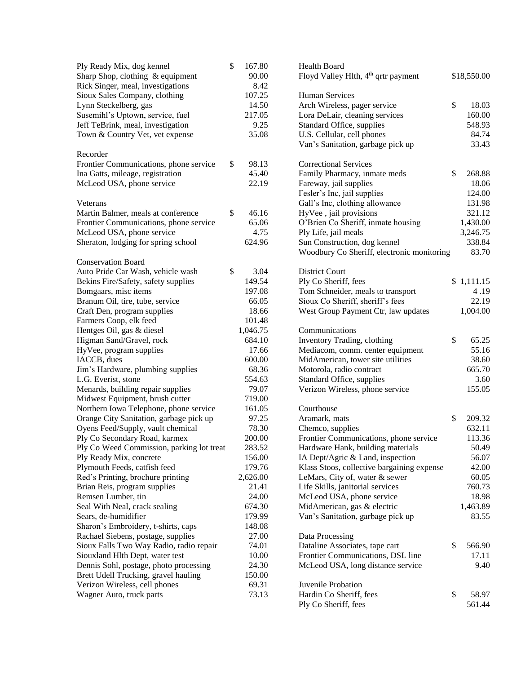| Ply Ready Mix, dog kennel                 | \$<br>167.80 | <b>Health Board</b>                             |              |
|-------------------------------------------|--------------|-------------------------------------------------|--------------|
| Sharp Shop, clothing & equipment          | 90.00        | Floyd Valley Hlth, 4 <sup>th</sup> qrtr payment | \$18,550.00  |
| Rick Singer, meal, investigations         | 8.42         |                                                 |              |
| Sioux Sales Company, clothing             | 107.25       | <b>Human Services</b>                           |              |
| Lynn Steckelberg, gas                     | 14.50        | Arch Wireless, pager service                    | \$<br>18.03  |
| Susemihl's Uptown, service, fuel          | 217.05       | Lora DeLair, cleaning services                  | 160.00       |
| Jeff TeBrink, meal, investigation         | 9.25         | Standard Office, supplies                       | 548.93       |
| Town & Country Vet, vet expense           | 35.08        | U.S. Cellular, cell phones                      | 84.74        |
|                                           |              | Van's Sanitation, garbage pick up               | 33.43        |
| Recorder                                  |              |                                                 |              |
| Frontier Communications, phone service    | \$<br>98.13  | <b>Correctional Services</b>                    |              |
| Ina Gatts, mileage, registration          | 45.40        | Family Pharmacy, inmate meds                    | \$<br>268.88 |
| McLeod USA, phone service                 | 22.19        | Fareway, jail supplies                          | 18.06        |
|                                           |              | Fesler's Inc, jail supplies                     | 124.00       |
| Veterans                                  |              | Gall's Inc, clothing allowance                  | 131.98       |
| Martin Balmer, meals at conference        | \$<br>46.16  | HyVee, jail provisions                          | 321.12       |
| Frontier Communications, phone service    | 65.06        | O'Brien Co Sheriff, inmate housing              | 1,430.00     |
| McLeod USA, phone service                 | 4.75         | Ply Life, jail meals                            | 3,246.75     |
| Sheraton, lodging for spring school       | 624.96       | Sun Construction, dog kennel                    | 338.84       |
|                                           |              | Woodbury Co Sheriff, electronic monitoring      | 83.70        |
| <b>Conservation Board</b>                 |              |                                                 |              |
| Auto Pride Car Wash, vehicle wash         | \$<br>3.04   | <b>District Court</b>                           |              |
| Bekins Fire/Safety, safety supplies       | 149.54       | Ply Co Sheriff, fees                            | \$1,111.15   |
| Bomgaars, misc items                      | 197.08       | Tom Schneider, meals to transport               | 4.19         |
| Branum Oil, tire, tube, service           | 66.05        | Sioux Co Sheriff, sheriff's fees                | 22.19        |
| Craft Den, program supplies               | 18.66        | West Group Payment Ctr, law updates             | 1,004.00     |
| Farmers Coop, elk feed                    | 101.48       |                                                 |              |
| Hentges Oil, gas & diesel                 | 1,046.75     | Communications                                  |              |
| Higman Sand/Gravel, rock                  | 684.10       | Inventory Trading, clothing                     | \$<br>65.25  |
| HyVee, program supplies                   | 17.66        | Mediacom, comm. center equipment                | 55.16        |
| IACCB, dues                               | 600.00       | MidAmerican, tower site utilities               | 38.60        |
| Jim's Hardware, plumbing supplies         | 68.36        | Motorola, radio contract                        | 665.70       |
| L.G. Everist, stone                       | 554.63       | Standard Office, supplies                       | 3.60         |
| Menards, building repair supplies         | 79.07        | Verizon Wireless, phone service                 | 155.05       |
| Midwest Equipment, brush cutter           | 719.00       |                                                 |              |
| Northern Iowa Telephone, phone service    | 161.05       | Courthouse                                      |              |
| Orange City Sanitation, garbage pick up   | 97.25        | Aramark, mats                                   | \$<br>209.32 |
| Oyens Feed/Supply, vault chemical         | 78.30        | Chemco, supplies                                | 632.11       |
| Ply Co Secondary Road, karmex             | 200.00       | Frontier Communications, phone service          | 113.36       |
| Ply Co Weed Commission, parking lot treat | 283.52       | Hardware Hank, building materials               | 50.49        |
| Ply Ready Mix, concrete                   | 156.00       | IA Dept/Agric & Land, inspection                | 56.07        |
| Plymouth Feeds, catfish feed              | 179.76       | Klass Stoos, collective bargaining expense      | 42.00        |
| Red's Printing, brochure printing         | 2,626.00     | LeMars, City of, water & sewer                  | 60.05        |
| Brian Reis, program supplies              | 21.41        | Life Skills, janitorial services                | 760.73       |
| Remsen Lumber, tin                        | 24.00        | McLeod USA, phone service                       | 18.98        |
| Seal With Neal, crack sealing             | 674.30       | MidAmerican, gas & electric                     | 1,463.89     |
| Sears, de-humidifier                      | 179.99       | Van's Sanitation, garbage pick up               | 83.55        |
| Sharon's Embroidery, t-shirts, caps       | 148.08       |                                                 |              |
| Rachael Siebens, postage, supplies        | 27.00        | Data Processing                                 |              |
| Sioux Falls Two Way Radio, radio repair   | 74.01        | Dataline Associates, tape cart                  | \$<br>566.90 |
| Siouxland Hlth Dept, water test           | 10.00        | Frontier Communications, DSL line               | 17.11        |
| Dennis Sohl, postage, photo processing    | 24.30        | McLeod USA, long distance service               | 9.40         |
| Brett Udell Trucking, gravel hauling      | 150.00       |                                                 |              |
| Verizon Wireless, cell phones             | 69.31        | Juvenile Probation                              |              |
| Wagner Auto, truck parts                  | 73.13        | Hardin Co Sheriff, fees                         | \$<br>58.97  |
|                                           |              | Ply Co Sheriff, fees                            | 561.44       |
|                                           |              |                                                 |              |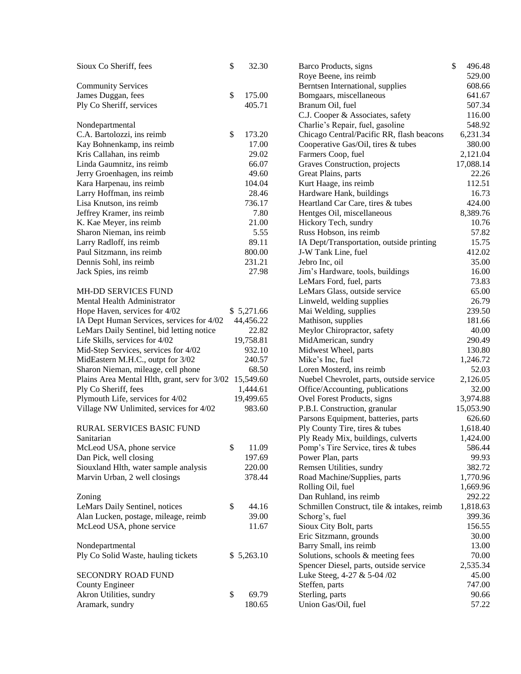| Sioux Co Sheriff, fees                                  | \$<br>32.30  | \$<br>Barco Products, signs                | 496.48    |
|---------------------------------------------------------|--------------|--------------------------------------------|-----------|
|                                                         |              | Roye Beene, ins reimb                      | 529.00    |
| <b>Community Services</b>                               |              | Berntsen International, supplies           | 608.66    |
| James Duggan, fees                                      | \$<br>175.00 | Bomgaars, miscellaneous                    | 641.67    |
| Ply Co Sheriff, services                                | 405.71       | Branum Oil, fuel                           | 507.34    |
|                                                         |              | C.J. Cooper & Associates, safety           | 116.00    |
| Nondepartmental                                         |              | Charlie's Repair, fuel, gasoline           | 548.92    |
| C.A. Bartolozzi, ins reimb                              | \$<br>173.20 | Chicago Central/Pacific RR, flash beacons  | 6,231.34  |
| Kay Bohnenkamp, ins reimb                               | 17.00        | Cooperative Gas/Oil, tires & tubes         | 380.00    |
| Kris Callahan, ins reimb                                | 29.02        | Farmers Coop, fuel                         | 2,121.04  |
| Linda Gaumnitz, ins reimb                               | 66.07        | Graves Construction, projects              | 17,088.14 |
| Jerry Groenhagen, ins reimb                             | 49.60        | Great Plains, parts                        | 22.26     |
| Kara Harpenau, ins reimb                                | 104.04       | Kurt Haage, ins reimb                      | 112.51    |
| Larry Hoffman, ins reimb                                | 28.46        | Hardware Hank, buildings                   | 16.73     |
| Lisa Knutson, ins reimb                                 | 736.17       | Heartland Car Care, tires & tubes          | 424.00    |
| Jeffrey Kramer, ins reimb                               | 7.80         | Hentges Oil, miscellaneous                 | 8,389.76  |
| K. Kae Meyer, ins reimb                                 | 21.00        | Hickory Tech, sundry                       | 10.76     |
| Sharon Nieman, ins reimb                                | 5.55         | Russ Hobson, ins reimb                     | 57.82     |
| Larry Radloff, ins reimb                                | 89.11        | IA Dept/Transportation, outside printing   | 15.75     |
| Paul Sitzmann, ins reimb                                | 800.00       | J-W Tank Line, fuel                        | 412.02    |
| Dennis Sohl, ins reimb                                  | 231.21       | Jebro Inc, oil                             | 35.00     |
| Jack Spies, ins reimb                                   | 27.98        | Jim's Hardware, tools, buildings           | 16.00     |
|                                                         |              | LeMars Ford, fuel, parts                   | 73.83     |
| <b>MH-DD SERVICES FUND</b>                              |              | LeMars Glass, outside service              | 65.00     |
| Mental Health Administrator                             |              | Linweld, welding supplies                  | 26.79     |
| Hope Haven, services for 4/02                           | \$5,271.66   | Mai Welding, supplies                      | 239.50    |
| IA Dept Human Services, services for 4/02               | 44,456.22    | Mathison, supplies                         | 181.66    |
| LeMars Daily Sentinel, bid letting notice               | 22.82        | Meylor Chiropractor, safety                | 40.00     |
| Life Skills, services for 4/02                          | 19,758.81    | MidAmerican, sundry                        | 290.49    |
| Mid-Step Services, services for 4/02                    | 932.10       | Midwest Wheel, parts                       | 130.80    |
| MidEastern M.H.C., outpt for 3/02                       | 240.57       | Mike's Inc, fuel                           | 1,246.72  |
| Sharon Nieman, mileage, cell phone                      | 68.50        | Loren Mosterd, ins reimb                   | 52.03     |
| Plains Area Mental Hlth, grant, serv for 3/02 15,549.60 |              | Nuebel Chevrolet, parts, outside service   | 2,126.05  |
| Ply Co Sheriff, fees                                    | 1,444.61     | Office/Accounting, publications            | 32.00     |
| Plymouth Life, services for 4/02                        | 19,499.65    | Ovel Forest Products, signs                | 3,974.88  |
| Village NW Unlimited, services for 4/02                 | 983.60       | P.B.I. Construction, granular              | 15,053.90 |
|                                                         |              | Parsons Equipment, batteries, parts        | 626.60    |
| RURAL SERVICES BASIC FUND                               |              | Ply County Tire, tires & tubes             | 1,618.40  |
| Sanitarian                                              |              | Ply Ready Mix, buildings, culverts         | 1,424.00  |
| McLeod USA, phone service                               | \$<br>11.09  | Pomp's Tire Service, tires & tubes         | 586.44    |
| Dan Pick, well closing                                  | 197.69       | Power Plan, parts                          | 99.93     |
| Siouxland Hlth, water sample analysis                   | 220.00       | Remsen Utilities, sundry                   | 382.72    |
| Marvin Urban, 2 well closings                           | 378.44       | Road Machine/Supplies, parts               | 1,770.96  |
|                                                         |              | Rolling Oil, fuel                          | 1,669.96  |
| Zoning                                                  |              | Dan Ruhland, ins reimb                     | 292.22    |
| LeMars Daily Sentinel, notices                          | \$<br>44.16  | Schmillen Construct, tile & intakes, reimb | 1,818.63  |
| Alan Lucken, postage, mileage, reimb                    | 39.00        | Schorg's, fuel                             | 399.36    |
| McLeod USA, phone service                               | 11.67        | Sioux City Bolt, parts                     | 156.55    |
|                                                         |              | Eric Sitzmann, grounds                     | 30.00     |
| Nondepartmental                                         |              | Barry Small, ins reimb                     | 13.00     |
| Ply Co Solid Waste, hauling tickets                     | \$5,263.10   | Solutions, schools & meeting fees          | 70.00     |
|                                                         |              | Spencer Diesel, parts, outside service     | 2,535.34  |
| <b>SECONDRY ROAD FUND</b>                               |              | Luke Steeg, 4-27 & 5-04 /02                | 45.00     |
| <b>County Engineer</b>                                  |              | Steffen, parts                             | 747.00    |
| Akron Utilities, sundry                                 | \$<br>69.79  | Sterling, parts                            | 90.66     |
| Aramark, sundry                                         | 180.65       | Union Gas/Oil, fuel                        | 57.22     |